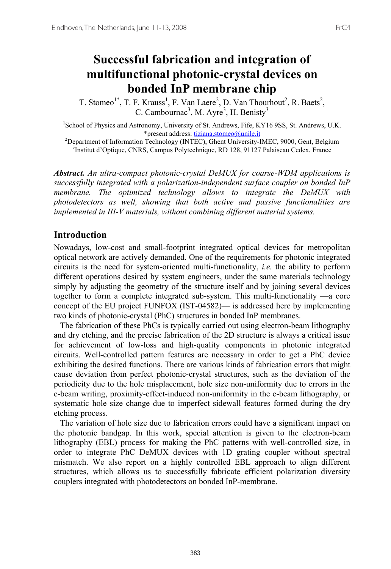# **Successful fabrication and integration of multifunctional photonic-crystal devices on bonded InP membrane chip**

T. Stomeo<sup>1\*</sup>, T. F. Krauss<sup>1</sup>, F. Van Laere<sup>2</sup>, D. Van Thourhout<sup>2</sup>, R. Baets<sup>2</sup>, C. Cambournac<sup>3</sup>, M. Ayre<sup>3</sup>, H. Benisty<sup>3</sup>

<sup>1</sup>School of Physics and Astronomy, University of St. Andrews, Fife, KY16 9SS, St. Andrews, U.K. \*present address: <u>tiziana.stomeo@unile.it</u><br>2Department of Information Technology (INTEC), Ghent University

Department of Information Technology (INTEC), Ghent University-IMEC, 9000, Gent, Belgium<br><sup>3</sup>Institut d'Ontique, CNRS, Campus Polytechnique, RD 128, 91127 Palaiseau Cedex, France <sup>3</sup>Institut d'Optique, CNRS, Campus Polytechnique, RD 128, 91127 Palaiseau Cedex, France

*Abstract. An ultra-compact photonic-crystal DeMUX for coarse-WDM applications is successfully integrated with a polarization-independent surface coupler on bonded InP membrane. The optimized technology allows to integrate the DeMUX with photodetectors as well, showing that both active and passive functionalities are implemented in III-V materials, without combining different material systems.* 

#### **Introduction**

Nowadays, low-cost and small-footprint integrated optical devices for metropolitan optical network are actively demanded. One of the requirements for photonic integrated circuits is the need for system-oriented multi-functionality, *i.e.* the ability to perform different operations desired by system engineers, under the same materials technology simply by adjusting the geometry of the structure itself and by joining several devices together to form a complete integrated sub-system. This multi-functionality —a core concept of the EU project FUNFOX (IST-04582)— is addressed here by implementing two kinds of photonic-crystal (PhC) structures in bonded InP membranes.

 The fabrication of these PhCs is typically carried out using electron-beam lithography and dry etching, and the precise fabrication of the 2D structure is always a critical issue for achievement of low-loss and high-quality components in photonic integrated circuits. Well-controlled pattern features are necessary in order to get a PhC device exhibiting the desired functions. There are various kinds of fabrication errors that might cause deviation from perfect photonic-crystal structures, such as the deviation of the periodicity due to the hole misplacement, hole size non-uniformity due to errors in the e-beam writing, proximity-effect-induced non-uniformity in the e-beam lithography, or systematic hole size change due to imperfect sidewall features formed during the dry etching process.

 The variation of hole size due to fabrication errors could have a significant impact on the photonic bandgap. In this work, special attention is given to the electron-beam lithography (EBL) process for making the PhC patterns with well-controlled size, in order to integrate PhC DeMUX devices with 1D grating coupler without spectral mismatch. We also report on a highly controlled EBL approach to align different structures, which allows us to successfully fabricate efficient polarization diversity couplers integrated with photodetectors on bonded InP-membrane.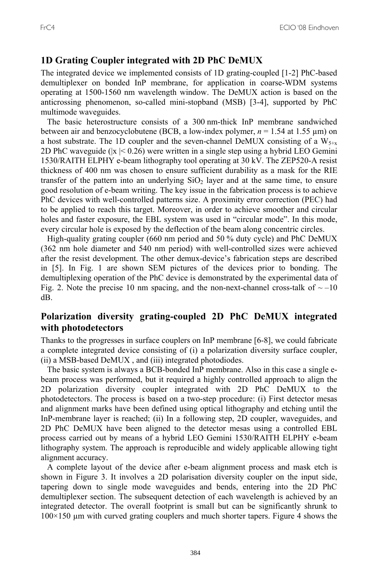### **1D Grating Coupler integrated with 2D PhC DeMUX**

The integrated device we implemented consists of 1D grating-coupled [1-2] PhC-based demultiplexer on bonded InP membrane, for application in coarse-WDM systems operating at 1500-1560 nm wavelength window. The DeMUX action is based on the anticrossing phenomenon, so-called mini-stopband (MSB) [3-4], supported by PhC multimode waveguides.

 The basic heterostructure consists of a 300 nm-thick InP membrane sandwiched between air and benzocyclobutene (BCB, a low-index polymer,  $n = 1.54$  at 1.55  $\mu$ m) on a host substrate. The 1D coupler and the seven-channel DeMUX consisting of a  $W_{5+x}$ 2D PhC waveguide ( $|x| \le 0.26$ ) were written in a single step using a hybrid LEO Gemini 1530/RAITH ELPHY e-beam lithography tool operating at 30 kV. The ZEP520-A resist thickness of 400 nm was chosen to ensure sufficient durability as a mask for the RIE transfer of the pattern into an underlying  $SiO<sub>2</sub>$  layer and at the same time, to ensure good resolution of e-beam writing. The key issue in the fabrication process is to achieve PhC devices with well-controlled patterns size. A proximity error correction (PEC) had to be applied to reach this target. Moreover, in order to achieve smoother and circular holes and faster exposure, the EBL system was used in "circular mode". In this mode, every circular hole is exposed by the deflection of the beam along concentric circles.

 High-quality grating coupler (660 nm period and 50 % duty cycle) and PhC DeMUX (362 nm hole diameter and 540 nm period) with well-controlled sizes were achieved after the resist development. The other demux-device's fabrication steps are described in [5]. In Fig. 1 are shown SEM pictures of the devices prior to bonding. The demultiplexing operation of the PhC device is demonstrated by the experimental data of Fig. 2. Note the precise 10 nm spacing, and the non-next-channel cross-talk of  $\sim$  -10 dB.

## **Polarization diversity grating-coupled 2D PhC DeMUX integrated with photodetectors**

Thanks to the progresses in surface couplers on InP membrane [6-8], we could fabricate a complete integrated device consisting of (i) a polarization diversity surface coupler, (ii) a MSB-based DeMUX , and (iii) integrated photodiodes.

 The basic system is always a BCB-bonded InP membrane. Also in this case a single ebeam process was performed, but it required a highly controlled approach to align the 2D polarization diversity coupler integrated with 2D PhC DeMUX to the photodetectors. The process is based on a two-step procedure: (i) First detector mesas and alignment marks have been defined using optical lithography and etching until the InP-membrane layer is reached; (ii) In a following step, 2D coupler, waveguides, and 2D PhC DeMUX have been aligned to the detector mesas using a controlled EBL process carried out by means of a hybrid LEO Gemini 1530/RAITH ELPHY e-beam lithography system. The approach is reproducible and widely applicable allowing tight alignment accuracy.

 A complete layout of the device after e-beam alignment process and mask etch is shown in Figure 3. It involves a 2D polarisation diversity coupler on the input side, tapering down to single mode waveguides and bends, entering into the 2D PhC demultiplexer section. The subsequent detection of each wavelength is achieved by an integrated detector. The overall footprint is small but can be significantly shrunk to  $100\times150$  µm with curved grating couplers and much shorter tapers. Figure 4 shows the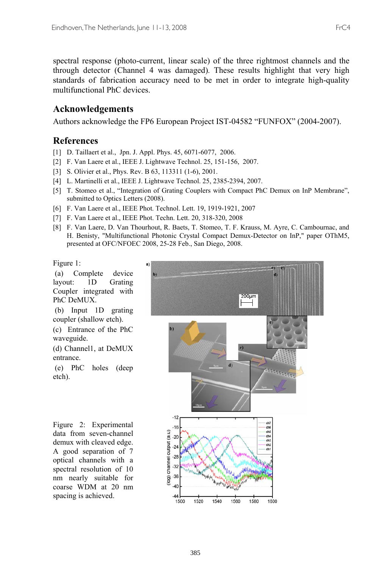spectral response (photo-current, linear scale) of the three rightmost channels and the through detector (Channel 4 was damaged). These results highlight that very high standards of fabrication accuracy need to be met in order to integrate high-quality multifunctional PhC devices.

### **Acknowledgements**

Authors acknowledge the FP6 European Project IST-04582 "FUNFOX" (2004-2007).

#### **References**

- [1] D. Taillaert et al., Jpn. J. Appl. Phys. 45, 6071-6077, 2006.
- [2] F. Van Laere et al., IEEE J. Lightwave Technol. 25, 151-156, 2007.
- [3] S. Olivier et al., Phys. Rev. B 63, 113311 (1-6), 2001.
- [4] L. Martinelli et al., IEEE J. Lightwave Technol. 25, 2385-2394, 2007.
- [5] T. Stomeo et al., "Integration of Grating Couplers with Compact PhC Demux on InP Membrane", submitted to Optics Letters (2008).
- [6] F. Van Laere et al., IEEE Phot. Technol. Lett. 19, 1919-1921, 2007
- [7] F. Van Laere et al., IEEE Phot. Techn. Lett. 20, 318-320, 2008
- [8] F. Van Laere, D. Van Thourhout, R. Baets, T. Stomeo, T. F. Krauss, M. Ayre, C. Cambournac, and H. Benisty, "Multifunctional Photonic Crystal Compact Demux-Detector on InP," paper OThM5, presented at OFC/NFOEC 2008, 25-28 Feb., San Diego, 2008.

Figure 1:

 (a) Complete device layout: 1D Grating Coupler integrated with PhC DeMUX.

 (b) Input 1D grating coupler (shallow etch).

(c) Entrance of the PhC waveguide.

(d) Channel1, at DeMUX entrance.

 (e) PhC holes (deep etch).

Figure 2: Experimental data from seven-channel demux with cleaved edge. A good separation of 7 optical channels with a spectral resolution of 10 nm nearly suitable for coarse WDM at 20 nm spacing is achieved.

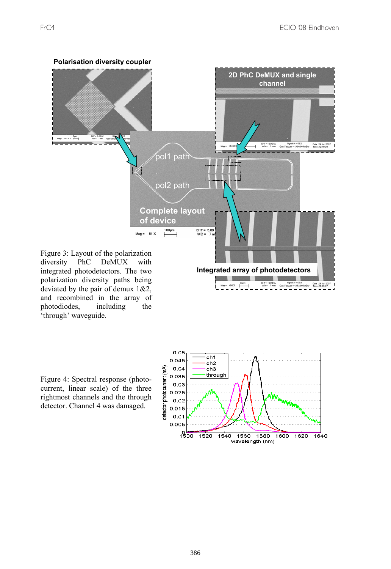

integrated photodetectors. The two polarization diversity paths being deviated by the pair of demux 1&2, and recombined in the array of photodiodes, including the photodiodes, 'through' waveguide.

Figure 4: Spectral response (photocurrent, linear scale) of the three rightmost channels and the through detector. Channel 4 was damaged.